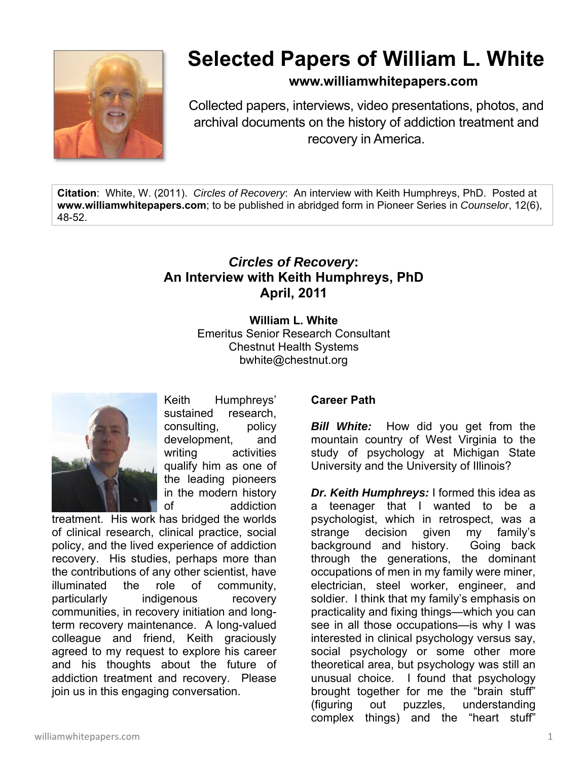

# **Selected Papers of William L. White**

## **www.williamwhitepapers.com**

Collected papers, interviews, video presentations, photos, and archival documents on the history of addiction treatment and recovery in America.

**Citation**: White, W. (2011). *Circles of Recovery*: An interview with Keith Humphreys, PhD. Posted at **www.williamwhitepapers.com**; to be published in abridged form in Pioneer Series in *Counselor*, 12(6), 48-52.

# *Circles of Recovery***: An Interview with Keith Humphreys, PhD April, 2011**

**William L. White**  Emeritus Senior Research Consultant Chestnut Health Systems bwhite@chestnut.org



Keith Humphreys' sustained research, consulting, policy development, and writing activities qualify him as one of the leading pioneers in the modern history of addiction

treatment. His work has bridged the worlds of clinical research, clinical practice, social policy, and the lived experience of addiction recovery. His studies, perhaps more than the contributions of any other scientist, have illuminated the role of community, particularly indigenous recovery communities, in recovery initiation and longterm recovery maintenance. A long-valued colleague and friend, Keith graciously agreed to my request to explore his career and his thoughts about the future of addiction treatment and recovery. Please join us in this engaging conversation.

#### **Career Path**

*Bill White:* How did you get from the mountain country of West Virginia to the study of psychology at Michigan State University and the University of Illinois?

*Dr. Keith Humphreys:* I formed this idea as a teenager that I wanted to be a psychologist, which in retrospect, was a strange decision given my family's background and history. Going back through the generations, the dominant occupations of men in my family were miner, electrician, steel worker, engineer, and soldier. I think that my family's emphasis on practicality and fixing things—which you can see in all those occupations—is why I was interested in clinical psychology versus say, social psychology or some other more theoretical area, but psychology was still an unusual choice. I found that psychology brought together for me the "brain stuff" (figuring out puzzles, understanding complex things) and the "heart stuff"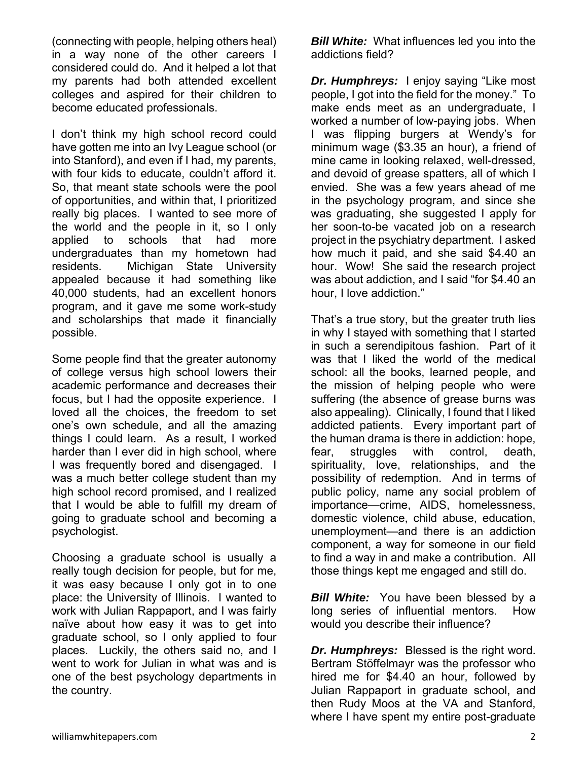(connecting with people, helping others heal) in a way none of the other careers I considered could do. And it helped a lot that my parents had both attended excellent colleges and aspired for their children to become educated professionals.

I don't think my high school record could have gotten me into an Ivy League school (or into Stanford), and even if I had, my parents, with four kids to educate, couldn't afford it. So, that meant state schools were the pool of opportunities, and within that, I prioritized really big places. I wanted to see more of the world and the people in it, so I only applied to schools that had more undergraduates than my hometown had residents. Michigan State University appealed because it had something like 40,000 students, had an excellent honors program, and it gave me some work-study and scholarships that made it financially possible.

Some people find that the greater autonomy of college versus high school lowers their academic performance and decreases their focus, but I had the opposite experience. I loved all the choices, the freedom to set one's own schedule, and all the amazing things I could learn. As a result, I worked harder than I ever did in high school, where I was frequently bored and disengaged. I was a much better college student than my high school record promised, and I realized that I would be able to fulfill my dream of going to graduate school and becoming a psychologist.

Choosing a graduate school is usually a really tough decision for people, but for me, it was easy because I only got in to one place: the University of Illinois. I wanted to work with Julian Rappaport, and I was fairly naïve about how easy it was to get into graduate school, so I only applied to four places. Luckily, the others said no, and I went to work for Julian in what was and is one of the best psychology departments in the country.

*Bill White:* What influences led you into the addictions field?

*Dr. Humphreys:* I enjoy saying "Like most people, I got into the field for the money." To make ends meet as an undergraduate, I worked a number of low-paying jobs. When I was flipping burgers at Wendy's for minimum wage (\$3.35 an hour), a friend of mine came in looking relaxed, well-dressed, and devoid of grease spatters, all of which I envied. She was a few years ahead of me in the psychology program, and since she was graduating, she suggested I apply for her soon-to-be vacated job on a research project in the psychiatry department. I asked how much it paid, and she said \$4.40 an hour. Wow! She said the research project was about addiction, and I said "for \$4.40 an hour, I love addiction."

That's a true story, but the greater truth lies in why I stayed with something that I started in such a serendipitous fashion. Part of it was that I liked the world of the medical school: all the books, learned people, and the mission of helping people who were suffering (the absence of grease burns was also appealing). Clinically, I found that I liked addicted patients. Every important part of the human drama is there in addiction: hope, fear, struggles with control, death, spirituality, love, relationships, and the possibility of redemption. And in terms of public policy, name any social problem of importance—crime, AIDS, homelessness, domestic violence, child abuse, education, unemployment—and there is an addiction component, a way for someone in our field to find a way in and make a contribution. All those things kept me engaged and still do.

*Bill White:* You have been blessed by a long series of influential mentors. How would you describe their influence?

*Dr. Humphreys:* Blessed is the right word. Bertram Stöffelmayr was the professor who hired me for \$4.40 an hour, followed by Julian Rappaport in graduate school, and then Rudy Moos at the VA and Stanford, where I have spent my entire post-graduate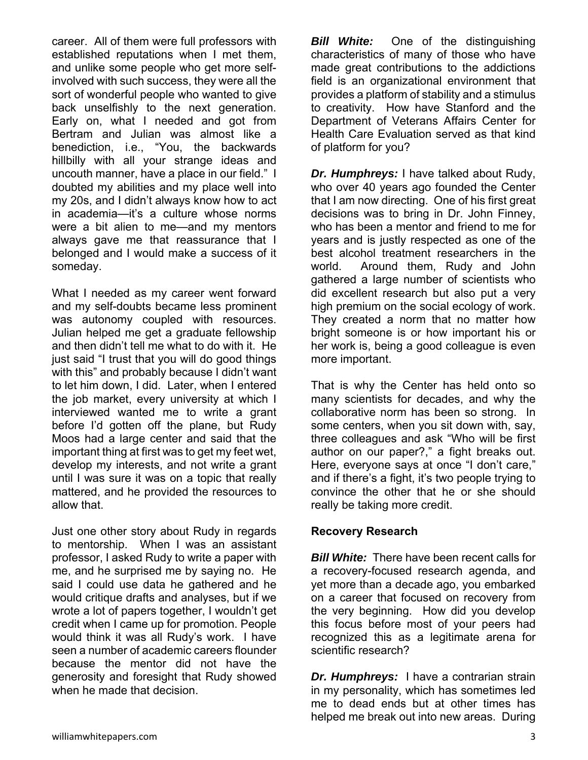career. All of them were full professors with established reputations when I met them, and unlike some people who get more selfinvolved with such success, they were all the sort of wonderful people who wanted to give back unselfishly to the next generation. Early on, what I needed and got from Bertram and Julian was almost like a benediction, i.e., "You, the backwards hillbilly with all your strange ideas and uncouth manner, have a place in our field." I doubted my abilities and my place well into my 20s, and I didn't always know how to act in academia—it's a culture whose norms were a bit alien to me—and my mentors always gave me that reassurance that I belonged and I would make a success of it someday.

What I needed as my career went forward and my self-doubts became less prominent was autonomy coupled with resources. Julian helped me get a graduate fellowship and then didn't tell me what to do with it. He just said "I trust that you will do good things with this" and probably because I didn't want to let him down, I did. Later, when I entered the job market, every university at which I interviewed wanted me to write a grant before I'd gotten off the plane, but Rudy Moos had a large center and said that the important thing at first was to get my feet wet, develop my interests, and not write a grant until I was sure it was on a topic that really mattered, and he provided the resources to allow that.

Just one other story about Rudy in regards to mentorship. When I was an assistant professor, I asked Rudy to write a paper with me, and he surprised me by saying no. He said I could use data he gathered and he would critique drafts and analyses, but if we wrote a lot of papers together, I wouldn't get credit when I came up for promotion. People would think it was all Rudy's work. I have seen a number of academic careers flounder because the mentor did not have the generosity and foresight that Rudy showed when he made that decision.

*Bill White:* One of the distinguishing characteristics of many of those who have made great contributions to the addictions field is an organizational environment that provides a platform of stability and a stimulus to creativity. How have Stanford and the Department of Veterans Affairs Center for Health Care Evaluation served as that kind of platform for you?

*Dr. Humphreys:* I have talked about Rudy, who over 40 years ago founded the Center that I am now directing. One of his first great decisions was to bring in Dr. John Finney, who has been a mentor and friend to me for years and is justly respected as one of the best alcohol treatment researchers in the world. Around them, Rudy and John gathered a large number of scientists who did excellent research but also put a very high premium on the social ecology of work. They created a norm that no matter how bright someone is or how important his or her work is, being a good colleague is even more important.

That is why the Center has held onto so many scientists for decades, and why the collaborative norm has been so strong. In some centers, when you sit down with, say, three colleagues and ask "Who will be first author on our paper?," a fight breaks out. Here, everyone says at once "I don't care," and if there's a fight, it's two people trying to convince the other that he or she should really be taking more credit.

#### **Recovery Research**

*Bill White:* There have been recent calls for a recovery-focused research agenda, and yet more than a decade ago, you embarked on a career that focused on recovery from the very beginning. How did you develop this focus before most of your peers had recognized this as a legitimate arena for scientific research?

*Dr. Humphreys:* I have a contrarian strain in my personality, which has sometimes led me to dead ends but at other times has helped me break out into new areas. During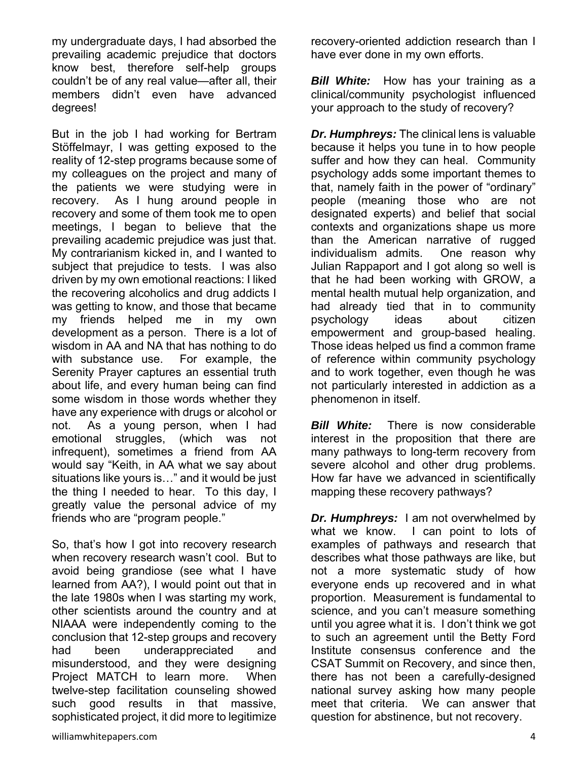my undergraduate days, I had absorbed the prevailing academic prejudice that doctors know best, therefore self-help groups couldn't be of any real value—after all, their members didn't even have advanced degrees!

But in the job I had working for Bertram Stöffelmayr, I was getting exposed to the reality of 12-step programs because some of my colleagues on the project and many of the patients we were studying were in recovery. As I hung around people in recovery and some of them took me to open meetings, I began to believe that the prevailing academic prejudice was just that. My contrarianism kicked in, and I wanted to subject that prejudice to tests. I was also driven by my own emotional reactions: I liked the recovering alcoholics and drug addicts I was getting to know, and those that became my friends helped me in my own development as a person. There is a lot of wisdom in AA and NA that has nothing to do with substance use. For example, the Serenity Prayer captures an essential truth about life, and every human being can find some wisdom in those words whether they have any experience with drugs or alcohol or not. As a young person, when I had emotional struggles, (which was not infrequent), sometimes a friend from AA would say "Keith, in AA what we say about situations like yours is…" and it would be just the thing I needed to hear. To this day, I greatly value the personal advice of my friends who are "program people."

So, that's how I got into recovery research when recovery research wasn't cool. But to avoid being grandiose (see what I have learned from AA?), I would point out that in the late 1980s when I was starting my work, other scientists around the country and at NIAAA were independently coming to the conclusion that 12-step groups and recovery had been underappreciated and misunderstood, and they were designing Project MATCH to learn more. When twelve-step facilitation counseling showed such good results in that massive, sophisticated project, it did more to legitimize

*Bill White:* How has your training as a clinical/community psychologist influenced your approach to the study of recovery?

*Dr. Humphreys:* The clinical lens is valuable because it helps you tune in to how people suffer and how they can heal. Community psychology adds some important themes to that, namely faith in the power of "ordinary" people (meaning those who are not designated experts) and belief that social contexts and organizations shape us more than the American narrative of rugged individualism admits. One reason why Julian Rappaport and I got along so well is that he had been working with GROW, a mental health mutual help organization, and had already tied that in to community psychology ideas about citizen empowerment and group-based healing. Those ideas helped us find a common frame of reference within community psychology and to work together, even though he was not particularly interested in addiction as a phenomenon in itself.

*Bill White:* There is now considerable interest in the proposition that there are many pathways to long-term recovery from severe alcohol and other drug problems. How far have we advanced in scientifically mapping these recovery pathways?

*Dr. Humphreys:* I am not overwhelmed by what we know. I can point to lots of examples of pathways and research that describes what those pathways are like, but not a more systematic study of how everyone ends up recovered and in what proportion. Measurement is fundamental to science, and you can't measure something until you agree what it is. I don't think we got to such an agreement until the Betty Ford Institute consensus conference and the CSAT Summit on Recovery, and since then, there has not been a carefully-designed national survey asking how many people meet that criteria. We can answer that question for abstinence, but not recovery.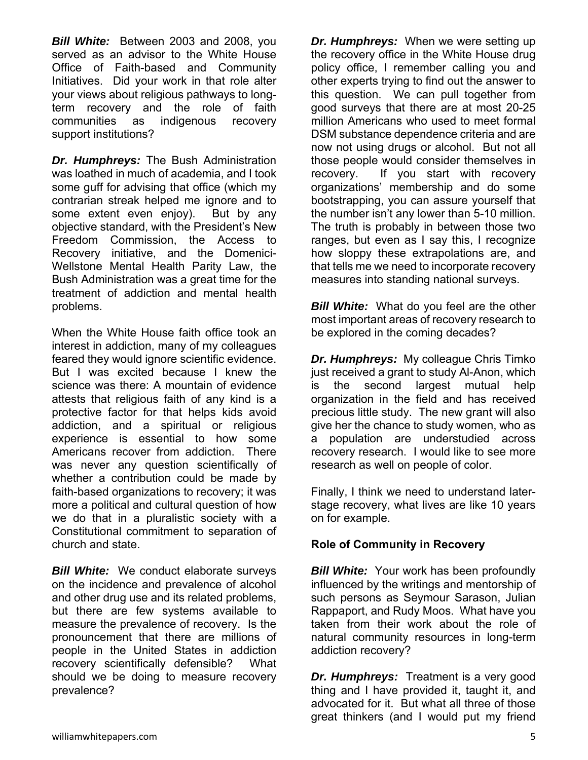*Bill White:* Between 2003 and 2008, you served as an advisor to the White House Office of Faith-based and Community Initiatives. Did your work in that role alter your views about religious pathways to longterm recovery and the role of faith communities as indigenous recovery support institutions?

*Dr. Humphreys:* The Bush Administration was loathed in much of academia, and I took some guff for advising that office (which my contrarian streak helped me ignore and to some extent even enjoy). But by any objective standard, with the President's New Freedom Commission, the Access to Recovery initiative, and the Domenici-Wellstone Mental Health Parity Law, the Bush Administration was a great time for the treatment of addiction and mental health problems.

When the White House faith office took an interest in addiction, many of my colleagues feared they would ignore scientific evidence. But I was excited because I knew the science was there: A mountain of evidence attests that religious faith of any kind is a protective factor for that helps kids avoid addiction, and a spiritual or religious experience is essential to how some Americans recover from addiction. There was never any question scientifically of whether a contribution could be made by faith-based organizations to recovery; it was more a political and cultural question of how we do that in a pluralistic society with a Constitutional commitment to separation of church and state.

*Bill White:* We conduct elaborate surveys on the incidence and prevalence of alcohol and other drug use and its related problems, but there are few systems available to measure the prevalence of recovery. Is the pronouncement that there are millions of people in the United States in addiction recovery scientifically defensible? What should we be doing to measure recovery prevalence?

*Dr. Humphreys:* When we were setting up the recovery office in the White House drug policy office, I remember calling you and other experts trying to find out the answer to this question. We can pull together from good surveys that there are at most 20-25 million Americans who used to meet formal DSM substance dependence criteria and are now not using drugs or alcohol. But not all those people would consider themselves in recovery. If you start with recovery organizations' membership and do some bootstrapping, you can assure yourself that the number isn't any lower than 5-10 million. The truth is probably in between those two ranges, but even as I say this, I recognize how sloppy these extrapolations are, and that tells me we need to incorporate recovery measures into standing national surveys.

*Bill White:* What do you feel are the other most important areas of recovery research to be explored in the coming decades?

*Dr. Humphreys:* My colleague Chris Timko just received a grant to study Al-Anon, which is the second largest mutual help organization in the field and has received precious little study. The new grant will also give her the chance to study women, who as a population are understudied across recovery research. I would like to see more research as well on people of color.

Finally, I think we need to understand laterstage recovery, what lives are like 10 years on for example.

#### **Role of Community in Recovery**

**Bill White:** Your work has been profoundly influenced by the writings and mentorship of such persons as Seymour Sarason, Julian Rappaport, and Rudy Moos. What have you taken from their work about the role of natural community resources in long-term addiction recovery?

*Dr. Humphreys:* Treatment is a very good thing and I have provided it, taught it, and advocated for it. But what all three of those great thinkers (and I would put my friend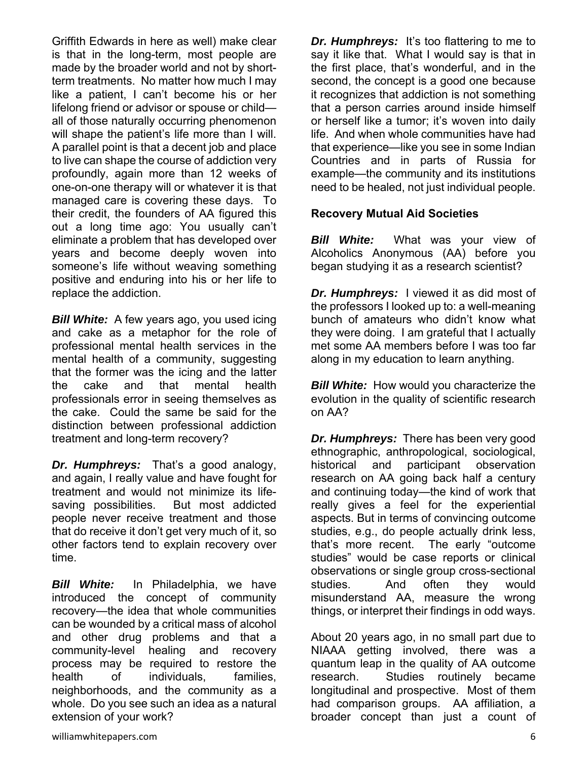Griffith Edwards in here as well) make clear is that in the long-term, most people are made by the broader world and not by shortterm treatments. No matter how much I may like a patient, I can't become his or her lifelong friend or advisor or spouse or child all of those naturally occurring phenomenon will shape the patient's life more than I will. A parallel point is that a decent job and place to live can shape the course of addiction very profoundly, again more than 12 weeks of one-on-one therapy will or whatever it is that managed care is covering these days. To their credit, the founders of AA figured this out a long time ago: You usually can't eliminate a problem that has developed over years and become deeply woven into someone's life without weaving something positive and enduring into his or her life to replace the addiction.

*Bill White:*A few years ago, you used icing and cake as a metaphor for the role of professional mental health services in the mental health of a community, suggesting that the former was the icing and the latter the cake and that mental health professionals error in seeing themselves as the cake. Could the same be said for the distinction between professional addiction treatment and long-term recovery?

*Dr. Humphreys:*That's a good analogy, and again, I really value and have fought for treatment and would not minimize its lifesaving possibilities. But most addicted people never receive treatment and those that do receive it don't get very much of it, so other factors tend to explain recovery over time.

*Bill White:* In Philadelphia, we have introduced the concept of community recovery—the idea that whole communities can be wounded by a critical mass of alcohol and other drug problems and that a community-level healing and recovery process may be required to restore the health of individuals, families, neighborhoods, and the community as a whole. Do you see such an idea as a natural extension of your work?

*Dr. Humphreys:* It's too flattering to me to say it like that. What I would say is that in the first place, that's wonderful, and in the second, the concept is a good one because it recognizes that addiction is not something that a person carries around inside himself or herself like a tumor; it's woven into daily life. And when whole communities have had that experience—like you see in some Indian Countries and in parts of Russia for example—the community and its institutions need to be healed, not just individual people.

#### **Recovery Mutual Aid Societies**

*Bill White:* What was your view of Alcoholics Anonymous (AA) before you began studying it as a research scientist?

*Dr. Humphreys:* I viewed it as did most of the professors I looked up to: a well-meaning bunch of amateurs who didn't know what they were doing. I am grateful that I actually met some AA members before I was too far along in my education to learn anything.

*Bill White:* How would you characterize the evolution in the quality of scientific research on AA?

*Dr. Humphreys:* There has been very good ethnographic, anthropological, sociological, historical and participant observation research on AA going back half a century and continuing today—the kind of work that really gives a feel for the experiential aspects. But in terms of convincing outcome studies, e.g., do people actually drink less, that's more recent. The early "outcome studies" would be case reports or clinical observations or single group cross-sectional studies. And often they would misunderstand AA, measure the wrong things, or interpret their findings in odd ways.

About 20 years ago, in no small part due to NIAAA getting involved, there was a quantum leap in the quality of AA outcome research. Studies routinely became longitudinal and prospective. Most of them had comparison groups. AA affiliation, a broader concept than just a count of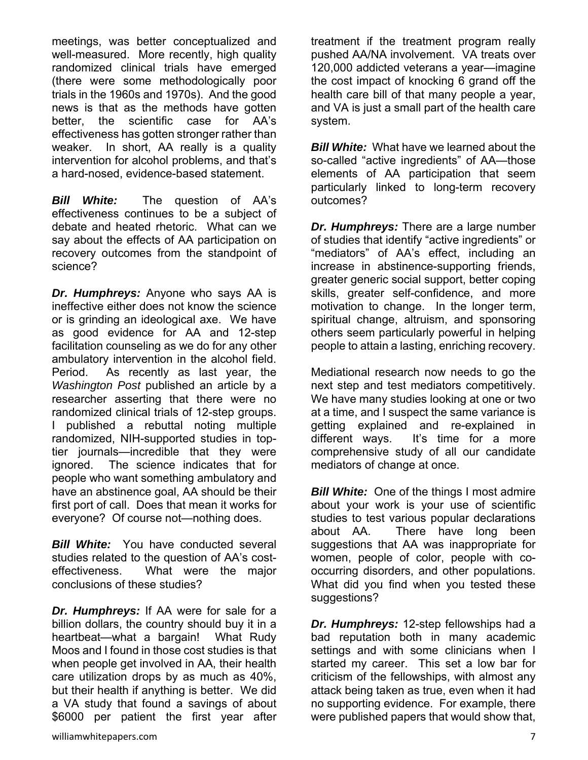meetings, was better conceptualized and well-measured. More recently, high quality randomized clinical trials have emerged (there were some methodologically poor trials in the 1960s and 1970s). And the good news is that as the methods have gotten better, the scientific case for AA's effectiveness has gotten stronger rather than weaker. In short, AA really is a quality intervention for alcohol problems, and that's a hard-nosed, evidence-based statement.

**Bill White:** The question of AA's effectiveness continues to be a subject of debate and heated rhetoric. What can we say about the effects of AA participation on recovery outcomes from the standpoint of science?

*Dr. Humphreys:* Anyone who says AA is ineffective either does not know the science or is grinding an ideological axe. We have as good evidence for AA and 12-step facilitation counseling as we do for any other ambulatory intervention in the alcohol field. Period. As recently as last year, the *Washington Post* published an article by a researcher asserting that there were no randomized clinical trials of 12-step groups. I published a rebuttal noting multiple randomized, NIH-supported studies in toptier journals—incredible that they were ignored. The science indicates that for people who want something ambulatory and have an abstinence goal, AA should be their first port of call. Does that mean it works for everyone? Of course not—nothing does.

*Bill White:* You have conducted several studies related to the question of AA's costeffectiveness. What were the major conclusions of these studies?

*Dr. Humphreys:* If AA were for sale for a billion dollars, the country should buy it in a heartbeat—what a bargain! What Rudy Moos and I found in those cost studies is that when people get involved in AA, their health care utilization drops by as much as 40%, but their health if anything is better. We did a VA study that found a savings of about \$6000 per patient the first year after

treatment if the treatment program really pushed AA/NA involvement. VA treats over 120,000 addicted veterans a year—imagine the cost impact of knocking 6 grand off the health care bill of that many people a year, and VA is just a small part of the health care system.

*Bill White:* What have we learned about the so-called "active ingredients" of AA—those elements of AA participation that seem particularly linked to long-term recovery outcomes?

*Dr. Humphreys:* There are a large number of studies that identify "active ingredients" or "mediators" of AA's effect, including an increase in abstinence-supporting friends, greater generic social support, better coping skills, greater self-confidence, and more motivation to change. In the longer term, spiritual change, altruism, and sponsoring others seem particularly powerful in helping people to attain a lasting, enriching recovery.

Mediational research now needs to go the next step and test mediators competitively. We have many studies looking at one or two at a time, and I suspect the same variance is getting explained and re-explained in different ways. It's time for a more comprehensive study of all our candidate mediators of change at once.

*Bill White:* One of the things I most admire about your work is your use of scientific studies to test various popular declarations about AA. There have long been suggestions that AA was inappropriate for women, people of color, people with cooccurring disorders, and other populations. What did you find when you tested these suggestions?

*Dr. Humphreys:* 12-step fellowships had a bad reputation both in many academic settings and with some clinicians when I started my career. This set a low bar for criticism of the fellowships, with almost any attack being taken as true, even when it had no supporting evidence. For example, there were published papers that would show that,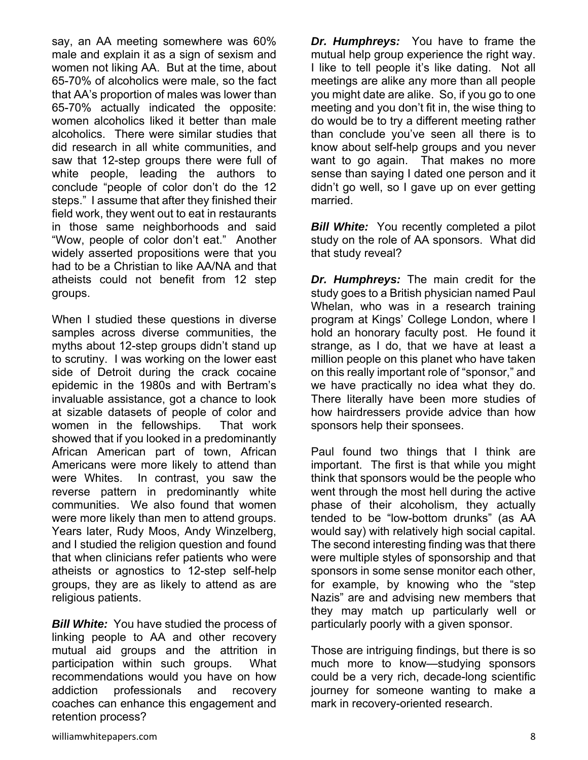say, an AA meeting somewhere was 60% male and explain it as a sign of sexism and women not liking AA. But at the time, about 65-70% of alcoholics were male, so the fact that AA's proportion of males was lower than 65-70% actually indicated the opposite: women alcoholics liked it better than male alcoholics. There were similar studies that did research in all white communities, and saw that 12-step groups there were full of white people, leading the authors to conclude "people of color don't do the 12 steps." I assume that after they finished their field work, they went out to eat in restaurants in those same neighborhoods and said "Wow, people of color don't eat." Another widely asserted propositions were that you had to be a Christian to like AA/NA and that atheists could not benefit from 12 step groups.

When I studied these questions in diverse samples across diverse communities, the myths about 12-step groups didn't stand up to scrutiny. I was working on the lower east side of Detroit during the crack cocaine epidemic in the 1980s and with Bertram's invaluable assistance, got a chance to look at sizable datasets of people of color and women in the fellowships. That work showed that if you looked in a predominantly African American part of town, African Americans were more likely to attend than were Whites. In contrast, you saw the reverse pattern in predominantly white communities. We also found that women were more likely than men to attend groups. Years later, Rudy Moos, Andy Winzelberg, and I studied the religion question and found that when clinicians refer patients who were atheists or agnostics to 12-step self-help groups, they are as likely to attend as are religious patients.

**Bill White:** You have studied the process of linking people to AA and other recovery mutual aid groups and the attrition in participation within such groups. What recommendations would you have on how addiction professionals and recovery coaches can enhance this engagement and retention process?

*Dr. Humphreys:* You have to frame the mutual help group experience the right way. I like to tell people it's like dating. Not all meetings are alike any more than all people you might date are alike. So, if you go to one meeting and you don't fit in, the wise thing to do would be to try a different meeting rather than conclude you've seen all there is to know about self-help groups and you never want to go again. That makes no more sense than saying I dated one person and it didn't go well, so I gave up on ever getting married.

**Bill White:** You recently completed a pilot study on the role of AA sponsors. What did that study reveal?

*Dr. Humphreys:* The main credit for the study goes to a British physician named Paul Whelan, who was in a research training program at Kings' College London, where I hold an honorary faculty post. He found it strange, as I do, that we have at least a million people on this planet who have taken on this really important role of "sponsor," and we have practically no idea what they do. There literally have been more studies of how hairdressers provide advice than how sponsors help their sponsees.

Paul found two things that I think are important. The first is that while you might think that sponsors would be the people who went through the most hell during the active phase of their alcoholism, they actually tended to be "low-bottom drunks" (as AA would say) with relatively high social capital. The second interesting finding was that there were multiple styles of sponsorship and that sponsors in some sense monitor each other, for example, by knowing who the "step Nazis" are and advising new members that they may match up particularly well or particularly poorly with a given sponsor.

Those are intriguing findings, but there is so much more to know—studying sponsors could be a very rich, decade-long scientific journey for someone wanting to make a mark in recovery-oriented research.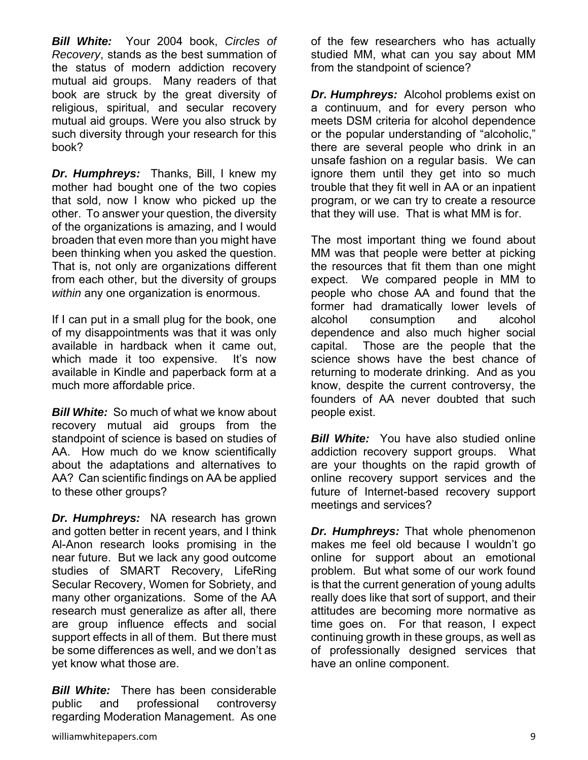*Bill White:*Your 2004 book, *Circles of Recovery*, stands as the best summation of the status of modern addiction recovery mutual aid groups. Many readers of that book are struck by the great diversity of religious, spiritual, and secular recovery mutual aid groups. Were you also struck by such diversity through your research for this book?

*Dr. Humphreys:* Thanks, Bill, I knew my mother had bought one of the two copies that sold, now I know who picked up the other. To answer your question, the diversity of the organizations is amazing, and I would broaden that even more than you might have been thinking when you asked the question. That is, not only are organizations different from each other, but the diversity of groups *within* any one organization is enormous.

If I can put in a small plug for the book, one of my disappointments was that it was only available in hardback when it came out, which made it too expensive. It's now available in Kindle and paperback form at a much more affordable price.

*Bill White:*So much of what we know about recovery mutual aid groups from the standpoint of science is based on studies of AA. How much do we know scientifically about the adaptations and alternatives to AA? Can scientific findings on AA be applied to these other groups?

*Dr. Humphreys:*NA research has grown and gotten better in recent years, and I think Al-Anon research looks promising in the near future. But we lack any good outcome studies of SMART Recovery, LifeRing Secular Recovery, Women for Sobriety, and many other organizations. Some of the AA research must generalize as after all, there are group influence effects and social support effects in all of them. But there must be some differences as well, and we don't as yet know what those are.

*Bill White:* There has been considerable public and professional controversy regarding Moderation Management. As one

of the few researchers who has actually studied MM, what can you say about MM from the standpoint of science?

*Dr. Humphreys:* Alcohol problems exist on a continuum, and for every person who meets DSM criteria for alcohol dependence or the popular understanding of "alcoholic," there are several people who drink in an unsafe fashion on a regular basis. We can ignore them until they get into so much trouble that they fit well in AA or an inpatient program, or we can try to create a resource that they will use. That is what MM is for.

The most important thing we found about MM was that people were better at picking the resources that fit them than one might expect. We compared people in MM to people who chose AA and found that the former had dramatically lower levels of alcohol consumption and alcohol dependence and also much higher social capital. Those are the people that the science shows have the best chance of returning to moderate drinking. And as you know, despite the current controversy, the founders of AA never doubted that such people exist.

**Bill White:** You have also studied online addiction recovery support groups. What are your thoughts on the rapid growth of online recovery support services and the future of Internet-based recovery support meetings and services?

*Dr. Humphreys:* That whole phenomenon makes me feel old because I wouldn't go online for support about an emotional problem. But what some of our work found is that the current generation of young adults really does like that sort of support, and their attitudes are becoming more normative as time goes on. For that reason, I expect continuing growth in these groups, as well as of professionally designed services that have an online component.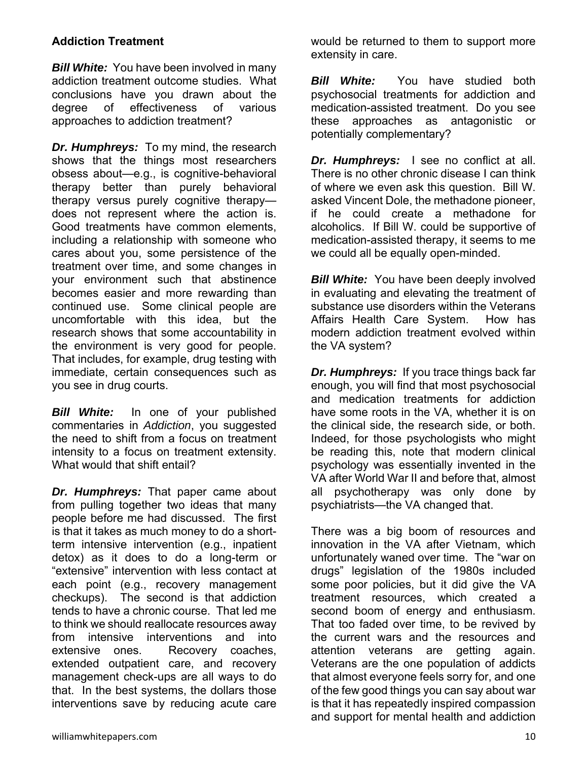#### **Addiction Treatment**

*Bill White:* You have been involved in many addiction treatment outcome studies. What conclusions have you drawn about the degree of effectiveness of various approaches to addiction treatment?

*Dr. Humphreys:* To my mind, the research shows that the things most researchers obsess about—e.g., is cognitive-behavioral therapy better than purely behavioral therapy versus purely cognitive therapy does not represent where the action is. Good treatments have common elements, including a relationship with someone who cares about you, some persistence of the treatment over time, and some changes in your environment such that abstinence becomes easier and more rewarding than continued use. Some clinical people are uncomfortable with this idea, but the research shows that some accountability in the environment is very good for people. That includes, for example, drug testing with immediate, certain consequences such as you see in drug courts.

*Bill White:*In one of your published commentaries in *Addiction*, you suggested the need to shift from a focus on treatment intensity to a focus on treatment extensity. What would that shift entail?

*Dr. Humphreys:* That paper came about from pulling together two ideas that many people before me had discussed. The first is that it takes as much money to do a shortterm intensive intervention (e.g., inpatient detox) as it does to do a long-term or "extensive" intervention with less contact at each point (e.g., recovery management checkups). The second is that addiction tends to have a chronic course. That led me to think we should reallocate resources away from intensive interventions and into extensive ones. Recovery coaches, extended outpatient care, and recovery management check-ups are all ways to do that. In the best systems, the dollars those interventions save by reducing acute care

would be returned to them to support more extensity in care.

*Bill White:* You have studied both psychosocial treatments for addiction and medication-assisted treatment. Do you see these approaches as antagonistic or potentially complementary?

*Dr. Humphreys:* I see no conflict at all. There is no other chronic disease I can think of where we even ask this question. Bill W. asked Vincent Dole, the methadone pioneer, if he could create a methadone for alcoholics. If Bill W. could be supportive of medication-assisted therapy, it seems to me we could all be equally open-minded.

**Bill White:** You have been deeply involved in evaluating and elevating the treatment of substance use disorders within the Veterans Affairs Health Care System. How has modern addiction treatment evolved within the VA system?

*Dr. Humphreys:* If you trace things back far enough, you will find that most psychosocial and medication treatments for addiction have some roots in the VA, whether it is on the clinical side, the research side, or both. Indeed, for those psychologists who might be reading this, note that modern clinical psychology was essentially invented in the VA after World War II and before that, almost all psychotherapy was only done by psychiatrists—the VA changed that.

There was a big boom of resources and innovation in the VA after Vietnam, which unfortunately waned over time. The "war on drugs" legislation of the 1980s included some poor policies, but it did give the VA treatment resources, which created a second boom of energy and enthusiasm. That too faded over time, to be revived by the current wars and the resources and attention veterans are getting again. Veterans are the one population of addicts that almost everyone feels sorry for, and one of the few good things you can say about war is that it has repeatedly inspired compassion and support for mental health and addiction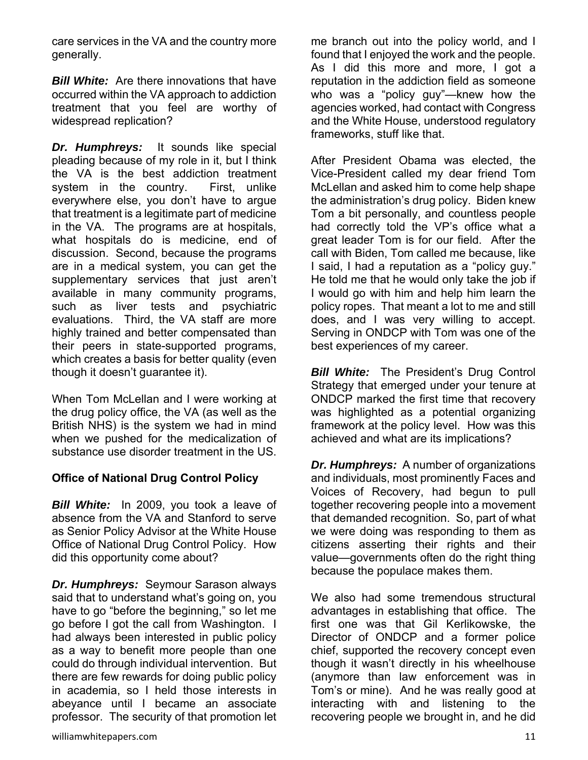care services in the VA and the country more generally.

*Bill White:* Are there innovations that have occurred within the VA approach to addiction treatment that you feel are worthy of widespread replication?

*Dr. Humphreys:* It sounds like special pleading because of my role in it, but I think the VA is the best addiction treatment system in the country. First, unlike everywhere else, you don't have to argue that treatment is a legitimate part of medicine in the VA. The programs are at hospitals, what hospitals do is medicine, end of discussion. Second, because the programs are in a medical system, you can get the supplementary services that just aren't available in many community programs, such as liver tests and psychiatric evaluations. Third, the VA staff are more highly trained and better compensated than their peers in state-supported programs, which creates a basis for better quality (even though it doesn't guarantee it).

When Tom McLellan and I were working at the drug policy office, the VA (as well as the British NHS) is the system we had in mind when we pushed for the medicalization of substance use disorder treatment in the US.

#### **Office of National Drug Control Policy**

*Bill White:*In 2009, you took a leave of absence from the VA and Stanford to serve as Senior Policy Advisor at the White House Office of National Drug Control Policy. How did this opportunity come about?

*Dr. Humphreys:* Seymour Sarason always said that to understand what's going on, you have to go "before the beginning," so let me go before I got the call from Washington. I had always been interested in public policy as a way to benefit more people than one could do through individual intervention. But there are few rewards for doing public policy in academia, so I held those interests in abeyance until I became an associate professor. The security of that promotion let me branch out into the policy world, and I found that I enjoyed the work and the people. As I did this more and more, I got a reputation in the addiction field as someone who was a "policy guy"—knew how the agencies worked, had contact with Congress and the White House, understood regulatory frameworks, stuff like that.

After President Obama was elected, the Vice-President called my dear friend Tom McLellan and asked him to come help shape the administration's drug policy. Biden knew Tom a bit personally, and countless people had correctly told the VP's office what a great leader Tom is for our field. After the call with Biden, Tom called me because, like I said, I had a reputation as a "policy guy." He told me that he would only take the job if I would go with him and help him learn the policy ropes. That meant a lot to me and still does, and I was very willing to accept. Serving in ONDCP with Tom was one of the best experiences of my career.

*Bill White:* The President's Drug Control Strategy that emerged under your tenure at ONDCP marked the first time that recovery was highlighted as a potential organizing framework at the policy level. How was this achieved and what are its implications?

*Dr. Humphreys:* A number of organizations and individuals, most prominently Faces and Voices of Recovery, had begun to pull together recovering people into a movement that demanded recognition. So, part of what we were doing was responding to them as citizens asserting their rights and their value—governments often do the right thing because the populace makes them.

We also had some tremendous structural advantages in establishing that office. The first one was that Gil Kerlikowske, the Director of ONDCP and a former police chief, supported the recovery concept even though it wasn't directly in his wheelhouse (anymore than law enforcement was in Tom's or mine). And he was really good at interacting with and listening to the recovering people we brought in, and he did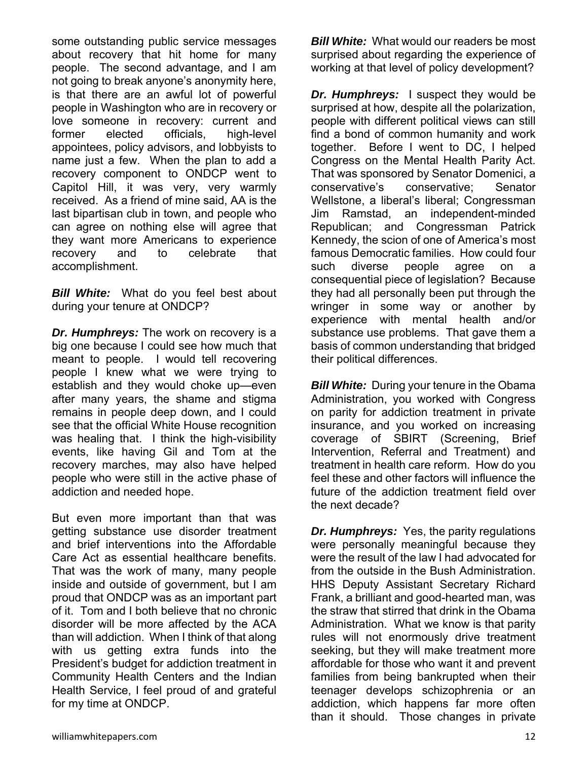some outstanding public service messages about recovery that hit home for many people. The second advantage, and I am not going to break anyone's anonymity here, is that there are an awful lot of powerful people in Washington who are in recovery or love someone in recovery: current and former elected officials, high-level appointees, policy advisors, and lobbyists to name just a few. When the plan to add a recovery component to ONDCP went to Capitol Hill, it was very, very warmly received. As a friend of mine said, AA is the last bipartisan club in town, and people who can agree on nothing else will agree that they want more Americans to experience recovery and to celebrate that accomplishment.

*Bill White:*What do you feel best about during your tenure at ONDCP?

*Dr. Humphreys:* The work on recovery is a big one because I could see how much that meant to people. I would tell recovering people I knew what we were trying to establish and they would choke up—even after many years, the shame and stigma remains in people deep down, and I could see that the official White House recognition was healing that. I think the high-visibility events, like having Gil and Tom at the recovery marches, may also have helped people who were still in the active phase of addiction and needed hope.

But even more important than that was getting substance use disorder treatment and brief interventions into the Affordable Care Act as essential healthcare benefits. That was the work of many, many people inside and outside of government, but I am proud that ONDCP was as an important part of it. Tom and I both believe that no chronic disorder will be more affected by the ACA than will addiction. When I think of that along with us getting extra funds into the President's budget for addiction treatment in Community Health Centers and the Indian Health Service, I feel proud of and grateful for my time at ONDCP.

*Bill White:* What would our readers be most surprised about regarding the experience of working at that level of policy development?

*Dr. Humphreys:* I suspect they would be surprised at how, despite all the polarization, people with different political views can still find a bond of common humanity and work together. Before I went to DC, I helped Congress on the Mental Health Parity Act. That was sponsored by Senator Domenici, a conservative's conservative; Senator Wellstone, a liberal's liberal; Congressman Jim Ramstad, an independent-minded Republican; and Congressman Patrick Kennedy, the scion of one of America's most famous Democratic families. How could four such diverse people agree on a consequential piece of legislation? Because they had all personally been put through the wringer in some way or another by experience with mental health and/or substance use problems. That gave them a basis of common understanding that bridged their political differences.

*Bill White:* During your tenure in the Obama Administration, you worked with Congress on parity for addiction treatment in private insurance, and you worked on increasing coverage of SBIRT (Screening, Brief Intervention, Referral and Treatment) and treatment in health care reform. How do you feel these and other factors will influence the future of the addiction treatment field over the next decade?

*Dr. Humphreys:* Yes, the parity regulations were personally meaningful because they were the result of the law I had advocated for from the outside in the Bush Administration. HHS Deputy Assistant Secretary Richard Frank, a brilliant and good-hearted man, was the straw that stirred that drink in the Obama Administration. What we know is that parity rules will not enormously drive treatment seeking, but they will make treatment more affordable for those who want it and prevent families from being bankrupted when their teenager develops schizophrenia or an addiction, which happens far more often than it should. Those changes in private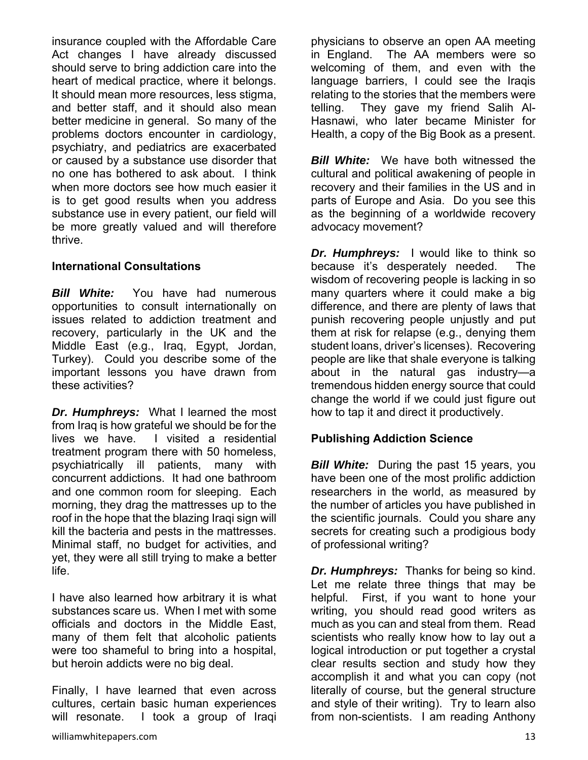insurance coupled with the Affordable Care Act changes I have already discussed should serve to bring addiction care into the heart of medical practice, where it belongs. It should mean more resources, less stigma, and better staff, and it should also mean better medicine in general. So many of the problems doctors encounter in cardiology, psychiatry, and pediatrics are exacerbated or caused by a substance use disorder that no one has bothered to ask about. I think when more doctors see how much easier it is to get good results when you address substance use in every patient, our field will be more greatly valued and will therefore thrive.

#### **International Consultations**

*Bill White:* You have had numerous opportunities to consult internationally on issues related to addiction treatment and recovery, particularly in the UK and the Middle East (e.g., Iraq, Egypt, Jordan, Turkey). Could you describe some of the important lessons you have drawn from these activities?

*Dr. Humphreys:* What I learned the most from Iraq is how grateful we should be for the lives we have. I visited a residential treatment program there with 50 homeless, psychiatrically ill patients, many with concurrent addictions. It had one bathroom and one common room for sleeping. Each morning, they drag the mattresses up to the roof in the hope that the blazing Iraqi sign will kill the bacteria and pests in the mattresses. Minimal staff, no budget for activities, and yet, they were all still trying to make a better life.

I have also learned how arbitrary it is what substances scare us. When I met with some officials and doctors in the Middle East, many of them felt that alcoholic patients were too shameful to bring into a hospital, but heroin addicts were no big deal.

Finally, I have learned that even across cultures, certain basic human experiences will resonate. I took a group of Iraqi

williamwhitepapers.com 33

physicians to observe an open AA meeting in England. The AA members were so welcoming of them, and even with the language barriers, I could see the Iraqis relating to the stories that the members were telling. They gave my friend Salih Al-Hasnawi, who later became Minister for Health, a copy of the Big Book as a present.

*Bill White:* We have both witnessed the cultural and political awakening of people in recovery and their families in the US and in parts of Europe and Asia. Do you see this as the beginning of a worldwide recovery advocacy movement?

*Dr. Humphreys:* I would like to think so because it's desperately needed. The wisdom of recovering people is lacking in so many quarters where it could make a big difference, and there are plenty of laws that punish recovering people unjustly and put them at risk for relapse (e.g., denying them student loans, driver's licenses). Recovering people are like that shale everyone is talking about in the natural gas industry—a tremendous hidden energy source that could change the world if we could just figure out how to tap it and direct it productively.

#### **Publishing Addiction Science**

*Bill White:* During the past 15 years, you have been one of the most prolific addiction researchers in the world, as measured by the number of articles you have published in the scientific journals. Could you share any secrets for creating such a prodigious body of professional writing?

*Dr. Humphreys:* Thanks for being so kind. Let me relate three things that may be helpful. First, if you want to hone your writing, you should read good writers as much as you can and steal from them. Read scientists who really know how to lay out a logical introduction or put together a crystal clear results section and study how they accomplish it and what you can copy (not literally of course, but the general structure and style of their writing). Try to learn also from non-scientists. I am reading Anthony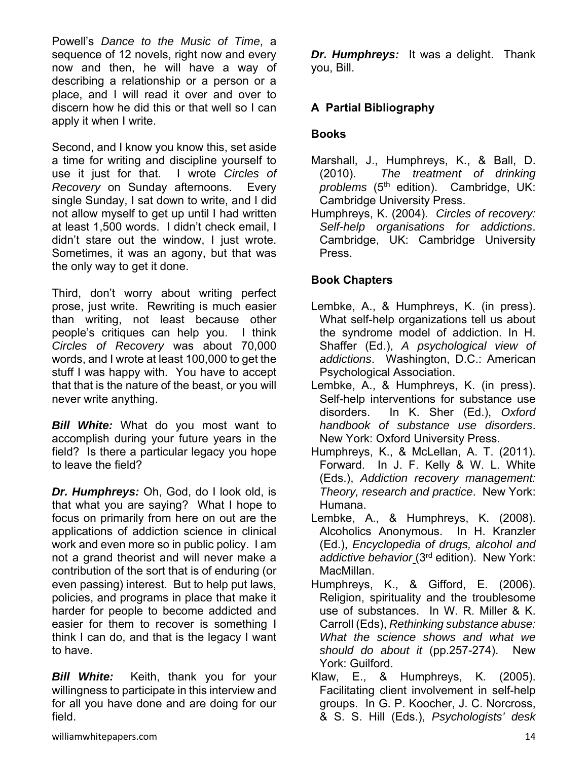Powell's *Dance to the Music of Time*, a sequence of 12 novels, right now and every now and then, he will have a way of describing a relationship or a person or a place, and I will read it over and over to discern how he did this or that well so I can apply it when I write.

Second, and I know you know this, set aside a time for writing and discipline yourself to use it just for that. I wrote *Circles of Recovery* on Sunday afternoons. Every single Sunday, I sat down to write, and I did not allow myself to get up until I had written at least 1,500 words. I didn't check email, I didn't stare out the window, I just wrote. Sometimes, it was an agony, but that was the only way to get it done.

Third, don't worry about writing perfect prose, just write. Rewriting is much easier than writing, not least because other people's critiques can help you. I think *Circles of Recovery* was about 70,000 words, and I wrote at least 100,000 to get the stuff I was happy with. You have to accept that that is the nature of the beast, or you will never write anything.

*Bill White:* What do you most want to accomplish during your future years in the field? Is there a particular legacy you hope to leave the field?

*Dr. Humphreys:* Oh, God, do I look old, is that what you are saying? What I hope to focus on primarily from here on out are the applications of addiction science in clinical work and even more so in public policy. I am not a grand theorist and will never make a contribution of the sort that is of enduring (or even passing) interest. But to help put laws, policies, and programs in place that make it harder for people to become addicted and easier for them to recover is something I think I can do, and that is the legacy I want to have.

*Bill White:* Keith, thank you for your willingness to participate in this interview and for all you have done and are doing for our field.

*Dr. Humphreys:* It was a delight. Thank you, Bill.

## **A Partial Bibliography**

## **Books**

- Marshall, J., Humphreys, K., & Ball, D. (2010). *The treatment of drinking*  problems (5<sup>th</sup> edition). Cambridge, UK: Cambridge University Press.
- Humphreys, K. (2004). *Circles of recovery: Self-help organisations for addictions*. Cambridge, UK: Cambridge University Press.

## **Book Chapters**

- Lembke, A., & Humphreys, K. (in press). What self-help organizations tell us about the syndrome model of addiction. In H. Shaffer (Ed.), *A psychological view of addictions*. Washington, D.C.: American Psychological Association.
- Lembke, A., & Humphreys, K. (in press). Self-help interventions for substance use disorders. In K. Sher (Ed.), *Oxford handbook of substance use disorders*. New York: Oxford University Press.
- Humphreys, K., & McLellan, A. T. (2011). Forward. In J. F. Kelly & W. L. White (Eds.), *Addiction recovery management: Theory, research and practice*. New York: Humana.
- Lembke, A., & Humphreys, K. (2008). Alcoholics Anonymous. In H. Kranzler (Ed.), *Encyclopedia of drugs, alcohol and addictive behavior* (3rd edition). New York: MacMillan.
- Humphreys, K., & Gifford, E. (2006). Religion, spirituality and the troublesome use of substances. In W. R. Miller & K. Carroll (Eds), *Rethinking substance abuse: What the science shows and what we should do about it* (pp.257-274). New York: Guilford.
- Klaw, E., & Humphreys, K. (2005). Facilitating client involvement in self-help groups. In G. P. Koocher, J. C. Norcross, & S. S. Hill (Eds.), *Psychologists' desk*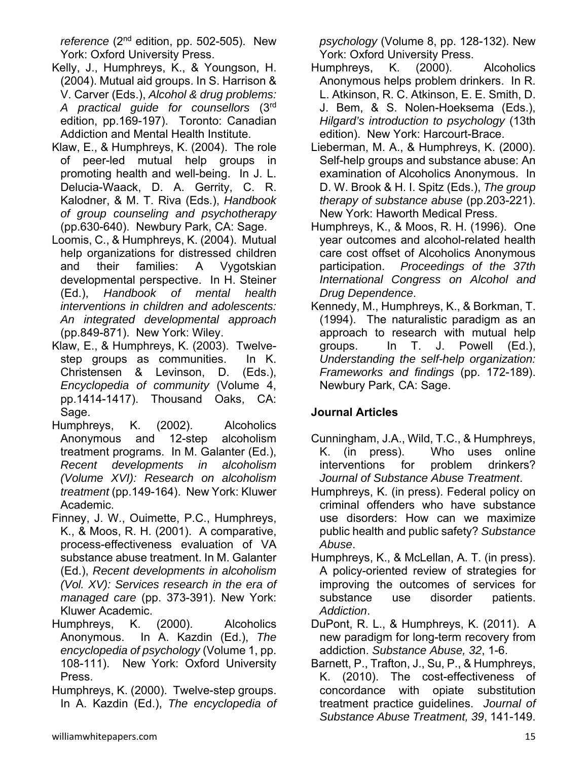*reference* (2<sup>nd</sup> edition, pp. 502-505). New York: Oxford University Press.

- Kelly, J., Humphreys, K., & Youngson, H. (2004). Mutual aid groups. In S. Harrison & V. Carver (Eds.), *Alcohol & drug problems: A practical guide for counsellors* (3rd edition, pp.169-197). Toronto: Canadian Addiction and Mental Health Institute.
- Klaw, E., & Humphreys, K. (2004). The role of peer-led mutual help groups in promoting health and well-being. In J. L. Delucia-Waack, D. A. Gerrity, C. R. Kalodner, & M. T. Riva (Eds.), *Handbook of group counseling and psychotherapy* (pp.630-640). Newbury Park, CA: Sage.
- Loomis, C., & Humphreys, K. (2004). Mutual help organizations for distressed children and their families: A Vygotskian developmental perspective. In H. Steiner (Ed.), *Handbook of mental health interventions in children and adolescents: An integrated developmental approach* (pp.849-871). New York: Wiley.
- Klaw, E., & Humphreys, K. (2003). Twelvestep groups as communities. In K. Christensen & Levinson, D. (Eds.), *Encyclopedia of community* (Volume 4, pp.1414-1417). Thousand Oaks, CA: Sage.
- Humphreys, K. (2002). Alcoholics Anonymous and 12-step alcoholism treatment programs. In M. Galanter (Ed.), *Recent developments in alcoholism (Volume XVI): Research on alcoholism treatment* (pp.149-164). New York: Kluwer Academic.
- Finney, J. W., Ouimette, P.C., Humphreys, K., & Moos, R. H. (2001). A comparative, process-effectiveness evaluation of VA substance abuse treatment. In M. Galanter (Ed.), *Recent developments in alcoholism (Vol. XV): Services research in the era of managed care* (pp. 373-391). New York: Kluwer Academic.
- Humphreys, K. (2000). Alcoholics Anonymous. In A. Kazdin (Ed.), *The encyclopedia of psychology* (Volume 1, pp. 108-111). New York: Oxford University Press.
- Humphreys, K. (2000). Twelve-step groups. In A. Kazdin (Ed.), *The encyclopedia of*

*psychology* (Volume 8, pp. 128-132). New York: Oxford University Press.

- Humphreys, K. (2000). Alcoholics Anonymous helps problem drinkers. In R. L. Atkinson, R. C. Atkinson, E. E. Smith, D. J. Bem, & S. Nolen-Hoeksema (Eds.), *Hilgard's introduction to psychology* (13th edition). New York: Harcourt-Brace.
- Lieberman, M. A., & Humphreys, K. (2000). Self-help groups and substance abuse: An examination of Alcoholics Anonymous. In D. W. Brook & H. I. Spitz (Eds.), *The group therapy of substance abuse* (pp.203-221). New York: Haworth Medical Press.
- Humphreys, K., & Moos, R. H. (1996). One year outcomes and alcohol-related health care cost offset of Alcoholics Anonymous participation. *Proceedings of the 37th International Congress on Alcohol and Drug Dependence*.
- Kennedy, M., Humphreys, K., & Borkman, T. (1994). The naturalistic paradigm as an approach to research with mutual help groups. In T. J. Powell (Ed.), *Understanding the self-help organization: Frameworks and findings* (pp. 172-189). Newbury Park, CA: Sage.

# **Journal Articles**

- Cunningham, J.A., Wild, T.C., & Humphreys, K. (in press). Who uses online interventions for problem drinkers? *Journal of Substance Abuse Treatment*.
- Humphreys, K. (in press). Federal policy on criminal offenders who have substance use disorders: How can we maximize public health and public safety? *Substance Abuse*.
- Humphreys, K., & McLellan, A. T. (in press). A policy-oriented review of strategies for improving the outcomes of services for substance use disorder patients. *Addiction*.
- DuPont, R. L., & Humphreys, K. (2011). A new paradigm for long-term recovery from addiction. *Substance Abuse, 32*, 1-6.
- Barnett, P., Trafton, J., Su, P., & Humphreys, K. (2010). The cost-effectiveness of concordance with opiate substitution treatment practice guidelines. *Journal of Substance Abuse Treatment, 39*, 141-149.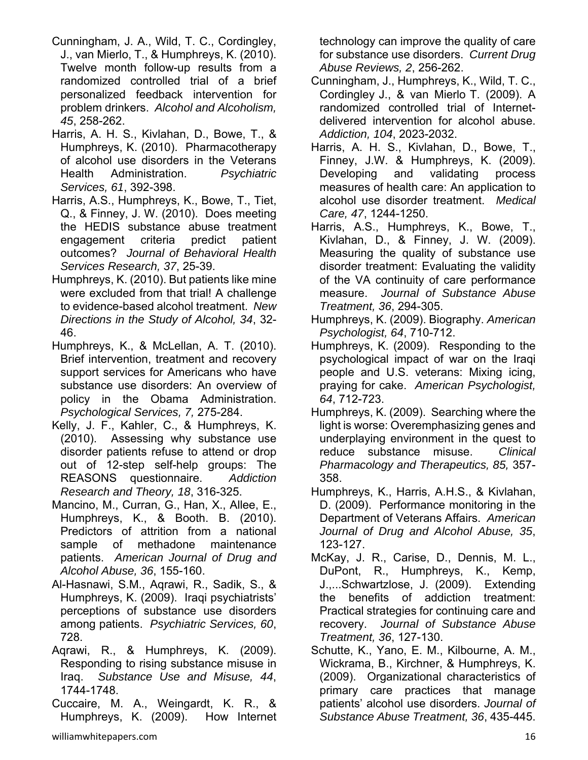- Cunningham, J. A., Wild, T. C., Cordingley, J., van Mierlo, T., & Humphreys, K. (2010). Twelve month follow-up results from a randomized controlled trial of a brief personalized feedback intervention for problem drinkers. *Alcohol and Alcoholism, 45*, 258-262.
- Harris, A. H. S., Kivlahan, D., Bowe, T., & Humphreys, K. (2010). Pharmacotherapy of alcohol use disorders in the Veterans Health Administration. *Psychiatric Services, 61*, 392-398.
- Harris, A.S., Humphreys, K., Bowe, T., Tiet, Q., & Finney, J. W. (2010). Does meeting the HEDIS substance abuse treatment engagement criteria predict patient outcomes? *Journal of Behavioral Health Services Research, 37*, 25-39.
- Humphreys, K. (2010). But patients like mine were excluded from that trial! A challenge to evidence-based alcohol treatment. *New Directions in the Study of Alcohol, 34*, 32- 46.
- Humphreys, K., & McLellan, A. T. (2010). Brief intervention, treatment and recovery support services for Americans who have substance use disorders: An overview of policy in the Obama Administration. *Psychological Services, 7,* 275-284.
- Kelly, J. F., Kahler, C., & Humphreys, K. (2010). Assessing why substance use disorder patients refuse to attend or drop out of 12-step self-help groups: The REASONS questionnaire. *Addiction Research and Theory, 18*, 316-325.
- Mancino, M., Curran, G., Han, X., Allee, E., Humphreys, K., & Booth. B. (2010). Predictors of attrition from a national sample of methadone maintenance patients. *American Journal of Drug and Alcohol Abuse, 36*, 155-160.
- Al-Hasnawi, S.M., Aqrawi, R., Sadik, S., & Humphreys, K. (2009). Iraqi psychiatrists' perceptions of substance use disorders among patients. *Psychiatric Services, 60*, 728.
- Aqrawi, R., & Humphreys, K. (2009). Responding to rising substance misuse in Iraq. *Substance Use and Misuse, 44*, 1744-1748.
- Cuccaire, M. A., Weingardt, K. R., & Humphreys, K. (2009). How Internet

technology can improve the quality of care for substance use disorders. *Current Drug Abuse Reviews, 2*, 256-262.

- Cunningham, J., Humphreys, K., Wild, T. C., Cordingley J., & van Mierlo T. (2009). A randomized controlled trial of Internetdelivered intervention for alcohol abuse. *Addiction, 104*, 2023-2032.
- Harris, A. H. S., Kivlahan, D., Bowe, T., Finney, J.W. & Humphreys, K. (2009). Developing and validating process measures of health care: An application to alcohol use disorder treatment. *Medical Care, 47*, 1244-1250.
- Harris, A.S., Humphreys, K., Bowe, T., Kivlahan, D., & Finney, J. W. (2009). Measuring the quality of substance use disorder treatment: Evaluating the validity of the VA continuity of care performance measure. *Journal of Substance Abuse Treatment, 36*, 294-305.
- Humphreys, K. (2009). Biography. *American Psychologist, 64*, 710-712.
- Humphreys, K. (2009). Responding to the psychological impact of war on the Iraqi people and U.S. veterans: Mixing icing, praying for cake. *American Psychologist, 64*, 712-723.
- Humphreys, K. (2009). Searching where the light is worse: Overemphasizing genes and underplaying environment in the quest to reduce substance misuse. *Clinical Pharmacology and Therapeutics, 85,* 357- 358.
- Humphreys, K., Harris, A.H.S., & Kivlahan, D. (2009). Performance monitoring in the Department of Veterans Affairs. *American Journal of Drug and Alcohol Abuse, 35*, 123-127.
- McKay, J. R., Carise, D., Dennis, M. L., DuPont, R., Humphreys, K., Kemp, J.,...Schwartzlose, J. (2009). Extending the benefits of addiction treatment: Practical strategies for continuing care and recovery. *Journal of Substance Abuse Treatment, 36*, 127-130.
- Schutte, K., Yano, E. M., Kilbourne, A. M., Wickrama, B., Kirchner, & Humphreys, K. (2009). Organizational characteristics of primary care practices that manage patients' alcohol use disorders. *Journal of Substance Abuse Treatment, 36*, 435-445.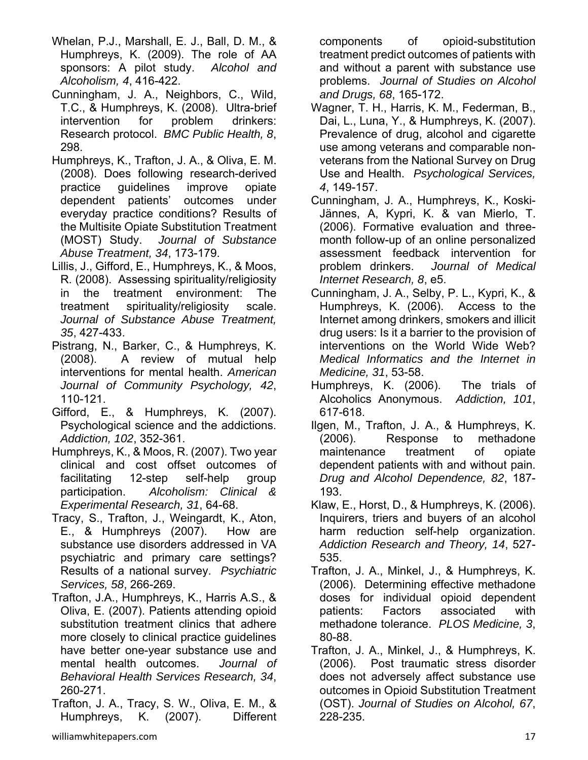- Whelan, P.J., Marshall, E. J., Ball, D. M., & Humphreys, K. (2009). The role of AA sponsors: A pilot study. *Alcohol and Alcoholism, 4*, 416-422.
- Cunningham, J. A., Neighbors, C., Wild, T.C., & Humphreys, K. (2008). Ultra-brief intervention for problem drinkers: Research protocol. *BMC Public Health, 8*, 298.
- Humphreys, K., Trafton, J. A., & Oliva, E. M. (2008). Does following research-derived practice guidelines improve opiate dependent patients' outcomes under everyday practice conditions? Results of the Multisite Opiate Substitution Treatment (MOST) Study. *Journal of Substance Abuse Treatment, 34*, 173-179.
- Lillis, J., Gifford, E., Humphreys, K., & Moos, R. (2008). Assessing spirituality/religiosity in the treatment environment: The treatment spirituality/religiosity scale. *Journal of Substance Abuse Treatment, 35*, 427-433.
- Pistrang, N., Barker, C., & Humphreys, K. (2008). A review of mutual help interventions for mental health. *American Journal of Community Psychology, 42*, 110-121.
- Gifford, E., & Humphreys, K. (2007). Psychological science and the addictions. *Addiction, 102*, 352-361.
- Humphreys, K., & Moos, R. (2007). Two year clinical and cost offset outcomes of facilitating 12-step self-help group participation. *Alcoholism: Clinical & Experimental Research, 31*, 64-68.
- Tracy, S., Trafton, J., Weingardt, K., Aton, E., & Humphreys (2007). How are substance use disorders addressed in VA psychiatric and primary care settings? Results of a national survey. *Psychiatric Services, 58*, 266-269.
- Trafton, J.A., Humphreys, K., Harris A.S., & Oliva, E. (2007). Patients attending opioid substitution treatment clinics that adhere more closely to clinical practice guidelines have better one-year substance use and mental health outcomes. *Journal of Behavioral Health Services Research, 34*, 260-271.
- Trafton, J. A., Tracy, S. W., Oliva, E. M., & Humphreys, K. (2007). Different

components of opioid-substitution treatment predict outcomes of patients with and without a parent with substance use problems. *Journal of Studies on Alcohol and Drugs, 68*, 165-172.

- Wagner, T. H., Harris, K. M., Federman, B., Dai, L., Luna, Y., & Humphreys, K. (2007). Prevalence of drug, alcohol and cigarette use among veterans and comparable nonveterans from the National Survey on Drug Use and Health. *Psychological Services, 4*, 149-157.
- Cunningham, J. A., Humphreys, K., Koski-Jännes, A, Kypri, K. & van Mierlo, T. (2006). Formative evaluation and threemonth follow-up of an online personalized assessment feedback intervention for problem drinkers. *Journal of Medical Internet Research, 8*, e5.
- Cunningham, J. A., Selby, P. L., Kypri, K., & Humphreys, K. (2006).Access to the Internet among drinkers, smokers and illicit drug users: Is it a barrier to the provision of interventions on the World Wide Web? *Medical Informatics and the Internet in Medicine, 31*, 53-58.
- Humphreys, K. (2006). The trials of Alcoholics Anonymous. *Addiction, 101*, 617-618.
- Ilgen, M., Trafton, J. A., & Humphreys, K. (2006). Response to methadone maintenance treatment of opiate dependent patients with and without pain. *Drug and Alcohol Dependence, 82*, 187- 193.
- Klaw, E., Horst, D., & Humphreys, K. (2006). Inquirers, triers and buyers of an alcohol harm reduction self-help organization. *Addiction Research and Theory, 14*, 527- 535.
- Trafton, J. A., Minkel, J., & Humphreys, K. (2006). Determining effective methadone doses for individual opioid dependent patients: Factors associated with methadone tolerance. *PLOS Medicine, 3*, 80-88.
- Trafton, J. A., Minkel, J., & Humphreys, K. (2006). Post traumatic stress disorder does not adversely affect substance use outcomes in Opioid Substitution Treatment (OST). *Journal of Studies on Alcohol, 67*, 228-235.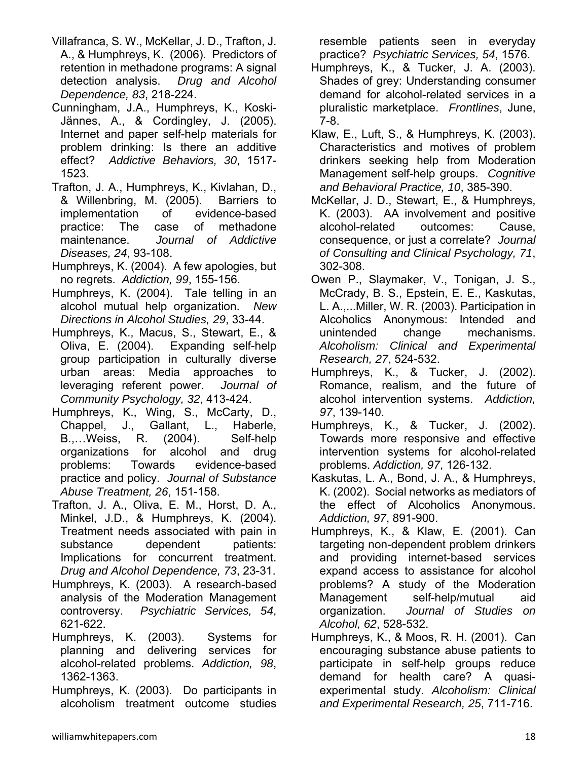- Villafranca, S. W., McKellar, J. D., Trafton, J. A., & Humphreys, K. (2006). Predictors of retention in methadone programs: A signal detection analysis. *Drug and Alcohol Dependence, 83*, 218-224.
- Cunningham, J.A., Humphreys, K., Koski-Jännes, A., & Cordingley, J. (2005). Internet and paper self-help materials for problem drinking: Is there an additive effect? *Addictive Behaviors, 30*, 1517- 1523.
- Trafton, J. A., Humphreys, K., Kivlahan, D., & Willenbring, M. (2005). Barriers to implementation of evidence-based practice: The case of methadone maintenance. *Journal of Addictive Diseases, 24*, 93-108.
- Humphreys, K. (2004). A few apologies, but no regrets. *Addiction, 99*, 155-156.
- Humphreys, K. (2004). Tale telling in an alcohol mutual help organization. *New Directions in Alcohol Studies, 29*, 33-44.
- Humphreys, K., Macus, S., Stewart, E., & Oliva, E. (2004). Expanding self-help group participation in culturally diverse urban areas: Media approaches to leveraging referent power. *Journal of Community Psychology, 32*, 413-424.
- Humphreys, K., Wing, S., McCarty, D., Chappel, J., Gallant, L., Haberle, B.,…Weiss, R. (2004). Self-help organizations for alcohol and drug problems: Towards evidence-based practice and policy. *Journal of Substance Abuse Treatment, 26*, 151-158.
- Trafton, J. A., Oliva, E. M., Horst, D. A., Minkel, J.D., & Humphreys, K. (2004). Treatment needs associated with pain in substance dependent patients: Implications for concurrent treatment. *Drug and Alcohol Dependence, 73*, 23-31.
- Humphreys, K. (2003). A research-based analysis of the Moderation Management controversy. *Psychiatric Services, 54*, 621-622.
- Humphreys, K. (2003). Systems for planning and delivering services for alcohol-related problems. *Addiction, 98*, 1362-1363.
- Humphreys, K. (2003). Do participants in alcoholism treatment outcome studies

resemble patients seen in everyday practice? *Psychiatric Services, 54*, 1576.

- Humphreys, K., & Tucker, J. A. (2003). Shades of grey: Understanding consumer demand for alcohol-related services in a pluralistic marketplace. *Frontlines*, June, 7-8.
- Klaw, E., Luft, S., & Humphreys, K. (2003). Characteristics and motives of problem drinkers seeking help from Moderation Management self-help groups. *Cognitive and Behavioral Practice, 10*, 385-390.
- McKellar, J. D., Stewart, E., & Humphreys, K. (2003). AA involvement and positive alcohol-related outcomes: Cause, consequence, or just a correlate? *Journal of Consulting and Clinical Psychology, 71*, 302-308.
- Owen P., Slaymaker, V., Tonigan, J. S., McCrady, B. S., Epstein, E. E., Kaskutas, L. A.,...Miller, W. R. (2003). Participation in Alcoholics Anonymous: Intended and unintended change mechanisms. *Alcoholism: Clinical and Experimental Research, 27*, 524-532.
- Humphreys, K., & Tucker, J. (2002). Romance, realism, and the future of alcohol intervention systems. *Addiction, 97*, 139-140.
- Humphreys, K., & Tucker, J. (2002). Towards more responsive and effective intervention systems for alcohol-related problems. *Addiction, 97*, 126-132.
- Kaskutas, L. A., Bond, J. A., & Humphreys, K. (2002). Social networks as mediators of the effect of Alcoholics Anonymous. *Addiction, 97*, 891-900.
- Humphreys, K., & Klaw, E. (2001). Can targeting non-dependent problem drinkers and providing internet-based services expand access to assistance for alcohol problems? A study of the Moderation Management self-help/mutual aid organization. *Journal of Studies on Alcohol, 62*, 528-532.
- Humphreys, K., & Moos, R. H. (2001). Can encouraging substance abuse patients to participate in self-help groups reduce demand for health care? A quasiexperimental study. *Alcoholism: Clinical and Experimental Research, 25*, 711-716.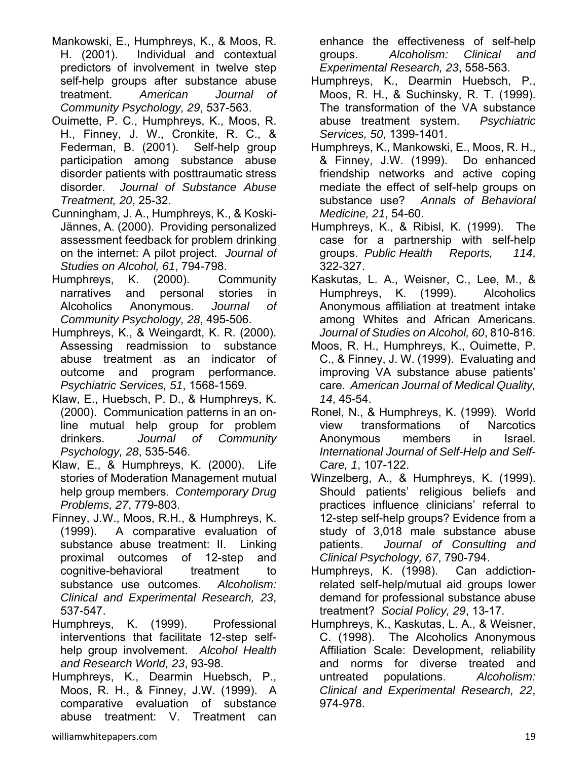- Mankowski, E., Humphreys, K., & Moos, R. H. (2001). Individual and contextual predictors of involvement in twelve step self-help groups after substance abuse treatment. *American Journal of Community Psychology, 29*, 537-563.
- Ouimette, P. C., Humphreys, K., Moos, R. H., Finney, J. W., Cronkite, R. C., & Federman, B. (2001). Self-help group participation among substance abuse disorder patients with posttraumatic stress disorder. *Journal of Substance Abuse Treatment, 20*, 25-32.
- Cunningham, J. A., Humphreys, K., & Koski-Jännes, A. (2000). Providing personalized assessment feedback for problem drinking on the internet: A pilot project. *Journal of Studies on Alcohol, 61*, 794-798.
- Humphreys, K. (2000). Community narratives and personal stories in Alcoholics Anonymous. *Journal of Community Psychology, 28*, 495-506.
- Humphreys, K., & Weingardt, K. R. (2000). Assessing readmission to substance abuse treatment as an indicator of outcome and program performance. *Psychiatric Services, 51*, 1568-1569.
- Klaw, E., Huebsch, P. D., & Humphreys, K. (2000). Communication patterns in an online mutual help group for problem drinkers. *Journal of Community Psychology, 28*, 535-546.
- Klaw, E., & Humphreys, K. (2000). Life stories of Moderation Management mutual help group members. *Contemporary Drug Problems, 27*, 779-803.
- Finney, J.W., Moos, R.H., & Humphreys, K. (1999). A comparative evaluation of substance abuse treatment: II. Linking proximal outcomes of 12-step and cognitive-behavioral treatment to substance use outcomes. *Alcoholism: Clinical and Experimental Research, 23*, 537-547.
- Humphreys, K. (1999). Professional interventions that facilitate 12-step selfhelp group involvement. *Alcohol Health and Research World, 23*, 93-98.
- Humphreys, K., Dearmin Huebsch, P., Moos, R. H., & Finney, J.W. (1999). A comparative evaluation of substance abuse treatment: V. Treatment can

enhance the effectiveness of self-help groups. *Alcoholism: Clinical and Experimental Research, 23*, 558-563.

- Humphreys, K., Dearmin Huebsch, P., Moos, R. H., & Suchinsky, R. T. (1999). The transformation of the VA substance abuse treatment system. *Psychiatric Services, 50*, 1399-1401.
- Humphreys, K., Mankowski, E., Moos, R. H., & Finney, J.W. (1999). Do enhanced friendship networks and active coping mediate the effect of self-help groups on substance use? *Annals of Behavioral Medicine, 21*, 54-60.
- Humphreys, K., & Ribisl, K. (1999). The case for a partnership with self-help groups. *Public Health Reports, 114*, 322-327.
- Kaskutas, L. A., Weisner, C., Lee, M., & Humphreys, K. (1999). Alcoholics Anonymous affiliation at treatment intake among Whites and African Americans. *Journal of Studies on Alcohol, 60*, 810-816.
- Moos, R. H., Humphreys, K., Ouimette, P. C., & Finney, J. W. (1999). Evaluating and improving VA substance abuse patients' care. *American Journal of Medical Quality, 14*, 45-54.
- Ronel, N., & Humphreys, K. (1999). World view transformations of Narcotics Anonymous members in Israel. *International Journal of Self-Help and Self-Care, 1*, 107-122.
- Winzelberg, A., & Humphreys, K. (1999). Should patients' religious beliefs and practices influence clinicians' referral to 12-step self-help groups? Evidence from a study of 3,018 male substance abuse patients. *Journal of Consulting and Clinical Psychology, 67*, 790-794.
- Humphreys, K. (1998). Can addictionrelated self-help/mutual aid groups lower demand for professional substance abuse treatment? *Social Policy, 29*, 13-17.
- Humphreys, K., Kaskutas, L. A., & Weisner, C. (1998). The Alcoholics Anonymous Affiliation Scale: Development, reliability and norms for diverse treated and untreated populations. *Alcoholism: Clinical and Experimental Research, 22*, 974-978.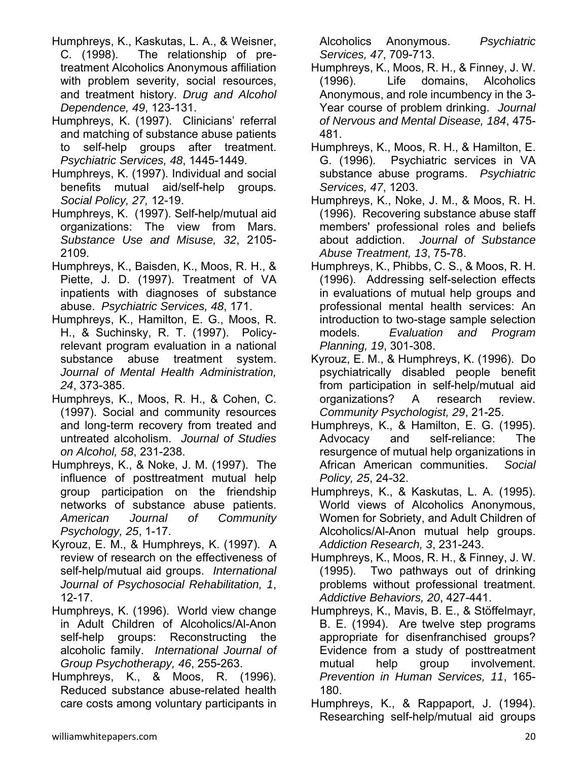- Humphreys, K., Kaskutas, L. A., & Weisner, C. (1998). The relationship of pretreatment Alcoholics Anonymous affiliation with problem severity, social resources, and treatment history. *Drug and Alcohol Dependence, 49*, 123-131.
- Humphreys, K. (1997). Clinicians' referral and matching of substance abuse patients to self-help groups after treatment. *Psychiatric Services, 48*, 1445-1449.
- Humphreys, K. (1997). Individual and social benefits mutual aid/self-help groups. *Social Policy, 27,* 12-19.
- Humphreys, K. (1997). Self-help/mutual aid organizations: The view from Mars. *Substance Use and Misuse, 32*, 2105- 2109.
- Humphreys, K., Baisden, K., Moos, R. H., & Piette, J. D. (1997). Treatment of VA inpatients with diagnoses of substance abuse. *Psychiatric Services, 48*, 171.
- Humphreys, K., Hamilton, E. G., Moos, R. H., & Suchinsky, R. T. (1997). Policyrelevant program evaluation in a national substance abuse treatment system. *Journal of Mental Health Administration, 24*, 373-385.
- Humphreys, K., Moos, R. H., & Cohen, C. (1997). Social and community resources and long-term recovery from treated and untreated alcoholism. *Journal of Studies on Alcohol, 58*, 231-238.
- Humphreys, K., & Noke, J. M. (1997). The influence of posttreatment mutual help group participation on the friendship networks of substance abuse patients. *American Journal of Community Psychology, 25*, 1-17.
- Kyrouz, E. M., & Humphreys, K. (1997). A review of research on the effectiveness of self-help/mutual aid groups. *International Journal of Psychosocial Rehabilitation, 1*, 12-17.
- Humphreys, K. (1996). World view change in Adult Children of Alcoholics/Al-Anon self-help groups: Reconstructing the alcoholic family. *International Journal of Group Psychotherapy, 46*, 255-263.
- Humphreys, K., & Moos, R. (1996). Reduced substance abuse-related health care costs among voluntary participants in

Alcoholics Anonymous. *Psychiatric Services, 47*, 709-713.

- Humphreys, K., Moos, R. H., & Finney, J. W. (1996). Life domains, Alcoholics Anonymous, and role incumbency in the 3- Year course of problem drinking. *Journal of Nervous and Mental Disease, 184*, 475- 481.
- Humphreys, K., Moos, R. H., & Hamilton, E. G. (1996). Psychiatric services in VA substance abuse programs. *Psychiatric Services, 47*, 1203.
- Humphreys, K., Noke, J. M., & Moos, R. H. (1996). Recovering substance abuse staff members' professional roles and beliefs about addiction. *Journal of Substance Abuse Treatment, 13*, 75-78.
- Humphreys, K., Phibbs, C. S., & Moos, R. H. (1996). Addressing self-selection effects in evaluations of mutual help groups and professional mental health services: An introduction to two-stage sample selection models. *Evaluation and Program Planning, 19*, 301-308.
- Kyrouz, E. M., & Humphreys, K. (1996). Do psychiatrically disabled people benefit from participation in self-help/mutual aid organizations? A research review. *Community Psychologist, 29*, 21-25.
- Humphreys, K., & Hamilton, E. G. (1995). Advocacy and self-reliance: The resurgence of mutual help organizations in African American communities. *Social Policy, 25*, 24-32.
- Humphreys, K., & Kaskutas, L. A. (1995). World views of Alcoholics Anonymous, Women for Sobriety, and Adult Children of Alcoholics/Al-Anon mutual help groups. *Addiction Research, 3*, 231-243.
- Humphreys, K., Moos, R. H., & Finney, J. W. (1995). Two pathways out of drinking problems without professional treatment. *Addictive Behaviors, 20*, 427-441.
- Humphreys, K., Mavis, B. E., & Stöffelmayr, B. E. (1994). Are twelve step programs appropriate for disenfranchised groups? Evidence from a study of posttreatment mutual help group involvement. *Prevention in Human Services, 11*, 165- 180.
- Humphreys, K., & Rappaport, J. (1994). Researching self-help/mutual aid groups